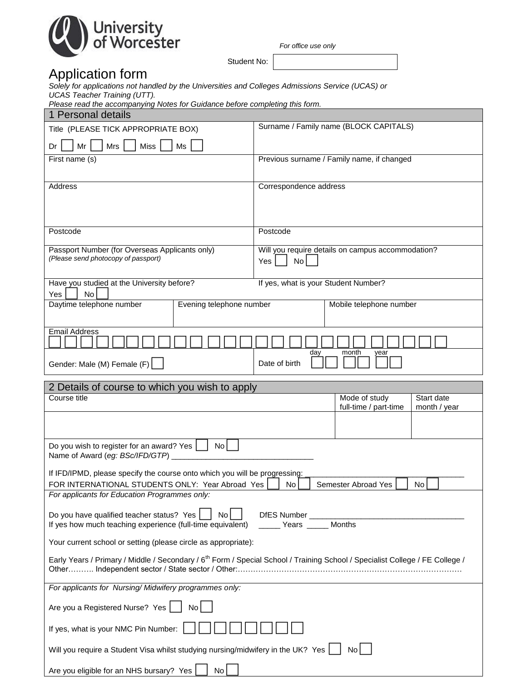

*For office use only*

# Application form

Student No: The Student No: The Student No:

*Solely for applications not handled by the Universities and Colleges Admissions Service (UCAS) or UCAS Teacher Training (UTT).*

| Please read the accompanying Notes for Guidance before completing this form. |  |  |
|------------------------------------------------------------------------------|--|--|
|                                                                              |  |  |

| 1 Personal details                                                                                                                                        |                                                                      |  |  |
|-----------------------------------------------------------------------------------------------------------------------------------------------------------|----------------------------------------------------------------------|--|--|
| Title (PLEASE TICK APPROPRIATE BOX)                                                                                                                       | Surname / Family name (BLOCK CAPITALS)                               |  |  |
| Mrs<br><b>Miss</b><br>Dr<br>Mr<br>Ms                                                                                                                      |                                                                      |  |  |
| First name (s)                                                                                                                                            | Previous surname / Family name, if changed                           |  |  |
|                                                                                                                                                           |                                                                      |  |  |
| Address                                                                                                                                                   | Correspondence address                                               |  |  |
|                                                                                                                                                           |                                                                      |  |  |
|                                                                                                                                                           |                                                                      |  |  |
| Postcode                                                                                                                                                  | Postcode                                                             |  |  |
| Passport Number (for Overseas Applicants only)<br>(Please send photocopy of passport)                                                                     | Will you require details on campus accommodation?                    |  |  |
|                                                                                                                                                           | No<br>Yes                                                            |  |  |
| Have you studied at the University before?                                                                                                                | If yes, what is your Student Number?                                 |  |  |
| No<br>Yes                                                                                                                                                 |                                                                      |  |  |
| Daytime telephone number<br>Evening telephone number                                                                                                      | Mobile telephone number                                              |  |  |
| <b>Email Address</b>                                                                                                                                      |                                                                      |  |  |
|                                                                                                                                                           | day<br>month<br>year                                                 |  |  |
| Gender: Male (M) Female (F)                                                                                                                               | Date of birth                                                        |  |  |
| 2 Details of course to which you wish to apply                                                                                                            |                                                                      |  |  |
| Course title                                                                                                                                              | Mode of study<br>Start date<br>full-time / part-time<br>month / year |  |  |
|                                                                                                                                                           |                                                                      |  |  |
|                                                                                                                                                           |                                                                      |  |  |
| <b>No</b><br>Do you wish to register for an award? Yes<br>Name of Award (eg: BSc/IFD/GTP)                                                                 |                                                                      |  |  |
| If IFD/IPMD, please specify the course onto which you will be progressing:                                                                                |                                                                      |  |  |
| FOR INTERNATIONAL STUDENTS ONLY: Year Abroad Yes                                                                                                          | Semester Abroad Yes<br>No <sub>1</sub><br>No.                        |  |  |
| For applicants for Education Programmes only:                                                                                                             |                                                                      |  |  |
| Do you have qualified teacher status? Yes<br>DfES Number ______<br>No<br>If yes how much teaching experience (full-time equivalent)<br>Vears _____ Months |                                                                      |  |  |
| Your current school or setting (please circle as appropriate):                                                                                            |                                                                      |  |  |
| Early Years / Primary / Middle / Secondary / 6 <sup>th</sup> Form / Special School / Training School / Specialist College / FE College /                  |                                                                      |  |  |
| For applicants for Nursing/Midwifery programmes only:                                                                                                     |                                                                      |  |  |
| Are you a Registered Nurse? Yes<br>No                                                                                                                     |                                                                      |  |  |
| If yes, what is your NMC Pin Number:                                                                                                                      |                                                                      |  |  |
| Will you require a Student Visa whilst studying nursing/midwifery in the UK? Yes                                                                          | No I                                                                 |  |  |
| Are you eligible for an NHS bursary? Yes<br>No                                                                                                            |                                                                      |  |  |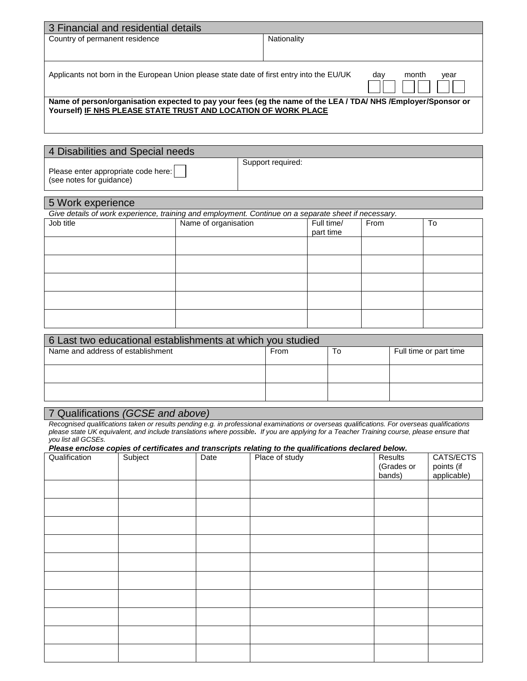| 3 Financial and residential details                                                                                                                                            |                      |
|--------------------------------------------------------------------------------------------------------------------------------------------------------------------------------|----------------------|
| Country of permanent residence                                                                                                                                                 | Nationality          |
|                                                                                                                                                                                |                      |
| Applicants not born in the European Union please state date of first entry into the EU/UK                                                                                      | month<br>day<br>year |
| Name of person/organisation expected to pay your fees (eg the name of the LEA / TDA/ NHS/Employer/Sponsor or<br>Yourself) IF NHS PLEASE STATE TRUST AND LOCATION OF WORK PLACE |                      |

| 4 Disabilities and Special needs                                |                   |  |
|-----------------------------------------------------------------|-------------------|--|
| Please enter appropriate code here:<br>(see notes for quidance) | Support required: |  |

| 5 Work experience |                                                                                                      |                         |      |    |  |
|-------------------|------------------------------------------------------------------------------------------------------|-------------------------|------|----|--|
|                   | Give details of work experience, training and employment. Continue on a separate sheet if necessary. |                         |      |    |  |
| Job title         | Name of organisation                                                                                 | Full time/<br>part time | From | To |  |
|                   |                                                                                                      |                         |      |    |  |
|                   |                                                                                                      |                         |      |    |  |
|                   |                                                                                                      |                         |      |    |  |
|                   |                                                                                                      |                         |      |    |  |
|                   |                                                                                                      |                         |      |    |  |

| 6 Last two educational establishments at which you studied |      |    |                        |  |
|------------------------------------------------------------|------|----|------------------------|--|
| Name and address of establishment                          | From | To | Full time or part time |  |
|                                                            |      |    |                        |  |
|                                                            |      |    |                        |  |
|                                                            |      |    |                        |  |
|                                                            |      |    |                        |  |
|                                                            |      |    |                        |  |

# 7 Qualifications *(GCSE and above)*

*Recognised qualifications taken or results pending e.g. in professional examinations or overseas qualifications. For overseas qualifications please state UK equivalent, and include translations where possible. If you are applying for a Teacher Training course, please ensure that you list all GCSEs.* 

#### *Please enclose copies of certificates and transcripts relating to the qualifications declared below.*

| Qualification |  | Qualification Subject Date Place of study Results | (Grades or<br>bands) | CATS/ECTS<br>points (if<br>applicable) |
|---------------|--|---------------------------------------------------|----------------------|----------------------------------------|
|               |  |                                                   |                      |                                        |
|               |  |                                                   |                      |                                        |
|               |  |                                                   |                      |                                        |
|               |  |                                                   |                      |                                        |
|               |  |                                                   |                      |                                        |
|               |  |                                                   |                      |                                        |
|               |  |                                                   |                      |                                        |
|               |  |                                                   |                      |                                        |
|               |  |                                                   |                      |                                        |
|               |  |                                                   |                      |                                        |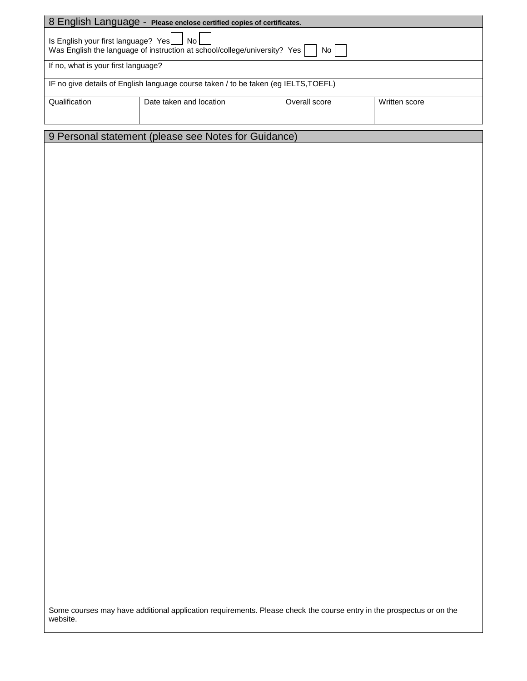|                                                                                                                                           | 8 English Language - Please enclose certified copies of certificates. |               |               |
|-------------------------------------------------------------------------------------------------------------------------------------------|-----------------------------------------------------------------------|---------------|---------------|
| Is English your first language? Yes<br>No <sub>1</sub><br>Was English the language of instruction at school/college/university? Yes<br>No |                                                                       |               |               |
| If no, what is your first language?                                                                                                       |                                                                       |               |               |
| IF no give details of English language course taken / to be taken (eg IELTS, TOEFL)                                                       |                                                                       |               |               |
| Qualification                                                                                                                             | Date taken and location                                               | Overall score | Written score |
|                                                                                                                                           |                                                                       |               |               |
| 9 Personal statement (please see Notes for Guidance)                                                                                      |                                                                       |               |               |
|                                                                                                                                           |                                                                       |               |               |
|                                                                                                                                           |                                                                       |               |               |

Some courses may have additional application requirements. Please check the course entry in the prospectus or on the website.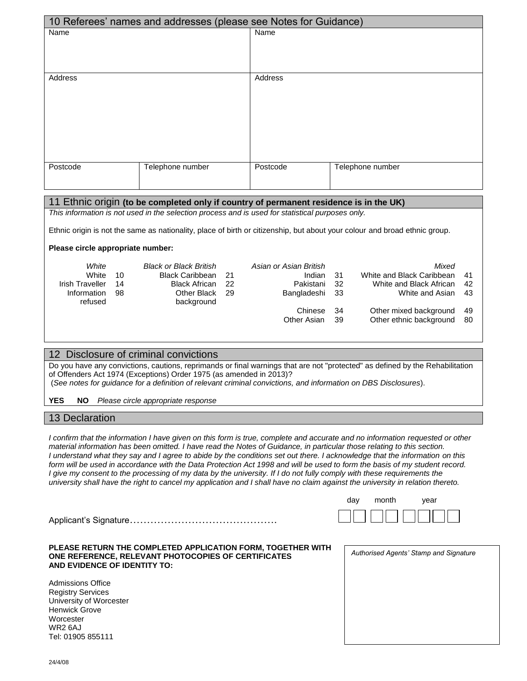|          | 10 Referees' names and addresses (please see Notes for Guidance) |          |                  |
|----------|------------------------------------------------------------------|----------|------------------|
| Name     |                                                                  | Name     |                  |
|          |                                                                  |          |                  |
|          |                                                                  |          |                  |
|          |                                                                  |          |                  |
| Address  |                                                                  | Address  |                  |
|          |                                                                  |          |                  |
|          |                                                                  |          |                  |
|          |                                                                  |          |                  |
|          |                                                                  |          |                  |
|          |                                                                  |          |                  |
|          |                                                                  |          |                  |
|          |                                                                  |          |                  |
| Postcode | Telephone number                                                 | Postcode | Telephone number |
|          |                                                                  |          |                  |
|          |                                                                  |          |                  |

# 11 Ethnic origin **(to be completed only if country of permanent residence is in the UK)** *This information is not used in the selection process and is used for statistical purposes only.* Ethnic origin is not the same as nationality, place of birth or citizenship, but about your colour and broad ethnic group. **Please circle appropriate number:** *White Black or Black British Asian or Asian British Mixed* White 10 Black Caribbean 21 Indian 31 White and Black Caribbean 41 Irish Traveller 14 Black African 22 Pakistani 32 White and Black African 42 Information 98 refused Other Black 29 background 29 Bangladeshi 33 White and Asian 43 Chinese 34 Other mixed background 49 Other Asian 39 Other ethnic background 80 12 Disclosure of criminal convictions

Do you have any convictions, cautions, reprimands or final warnings that are not "protected" as defined by the Rehabilitation of Offenders Act 1974 (Exceptions) Order 1975 (as amended in 2013)? (*See notes for guidance for a definition of relevant criminal convictions, and information on DBS Disclosures*).

**YES NO** *Please circle appropriate response*

# 13 Declaration

*I confirm that the information I have given on this form is true, complete and accurate and no information requested or other material information has been omitted. I have read the Notes of Guidance, in particular those relating to this section. I understand what they say and I agree to abide by the conditions set out there. I acknowledge that the information on this*  form will be used in accordance with the Data Protection Act 1998 and will be used to form the basis of my student record. *I give my consent to the processing of my data by the university. If I do not fully comply with these requirements the university shall have the right to cancel my application and I shall have no claim against the university in relation thereto.* 

| Anniicant s-Signautre |  |  |
|-----------------------|--|--|

### **PLEASE RETURN THE COMPLETED APPLICATION FORM, TOGETHER WITH ONE REFERENCE, RELEVANT PHOTOCOPIES OF CERTIFICATES AND EVIDENCE OF IDENTITY TO:**

Admissions Office Registry Services University of Worcester Henwick Grove **Worcester** WR2 6AJ Tel: 01905 855111

| Authorised Agents' Stamp and Signature |
|----------------------------------------|
|                                        |
|                                        |
|                                        |
|                                        |
|                                        |
|                                        |
|                                        |
|                                        |
|                                        |
|                                        |

day month year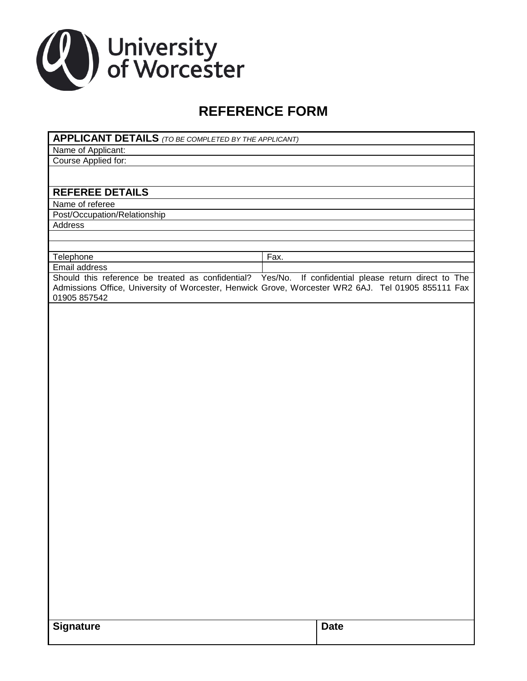

# **REFERENCE FORM**

|  | <b>APPLICANT DETAILS</b> (TO BE COMPLETED BY THE APPLICANT) |
|--|-------------------------------------------------------------|
|--|-------------------------------------------------------------|

Name of Applicant:

Course Applied for:

# **REFEREE DETAILS**

Name of referee

Post/Occupation/Relationship

Address

Telephone Fax. Email address

Should this reference be treated as confidential? Yes/No. If confidential please return direct to The Admissions Office, University of Worcester, Henwick Grove, Worcester WR2 6AJ. Tel 01905 855111 Fax 01905 857542

| <b>Signature</b> | Date |
|------------------|------|
|------------------|------|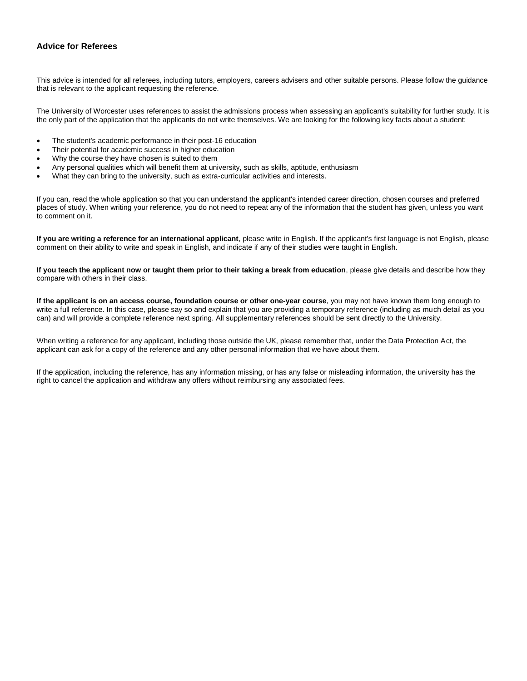# **Advice for Referees**

This advice is intended for all referees, including tutors, employers, careers advisers and other suitable persons. Please follow the guidance that is relevant to the applicant requesting the reference.

The University of Worcester uses references to assist the admissions process when assessing an applicant's suitability for further study. It is the only part of the application that the applicants do not write themselves. We are looking for the following key facts about a student:

- The student's academic performance in their post-16 education
- Their potential for academic success in higher education
- Why the course they have chosen is suited to them
- Any personal qualities which will benefit them at university, such as skills, aptitude, enthusiasm
- What they can bring to the university, such as extra-curricular activities and interests.

If you can, read the whole application so that you can understand the applicant's intended career direction, chosen courses and preferred places of study. When writing your reference, you do not need to repeat any of the information that the student has given, unless you want to comment on it.

**If you are writing a reference for an international applicant**, please write in English. If the applicant's first language is not English, please comment on their ability to write and speak in English, and indicate if any of their studies were taught in English.

**If you teach the applicant now or taught them prior to their taking a break from education**, please give details and describe how they compare with others in their class.

**If the applicant is on an access course, foundation course or other one-year course**, you may not have known them long enough to write a full reference. In this case, please say so and explain that you are providing a temporary reference (including as much detail as you can) and will provide a complete reference next spring. All supplementary references should be sent directly to the University.

When writing a reference for any applicant, including those outside the UK, please remember that, under the Data Protection Act, the applicant can ask for a copy of the reference and any other personal information that we have about them.

If the application, including the reference, has any information missing, or has any false or misleading information, the university has the right to cancel the application and withdraw any offers without reimbursing any associated fees.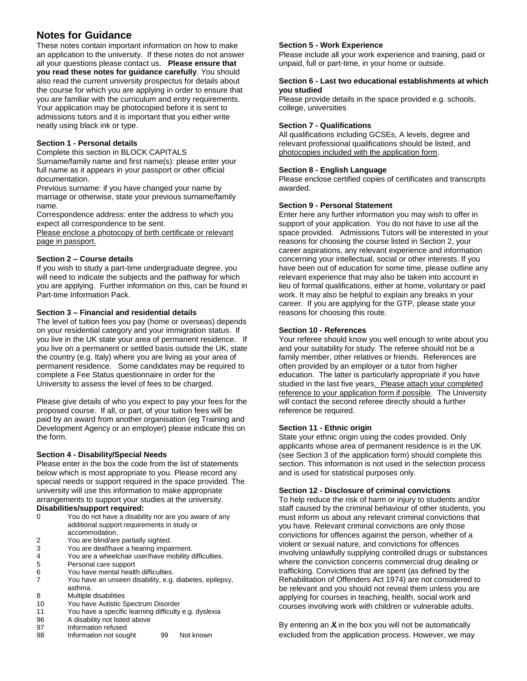# **Notes for Guidance**

These notes contain important information on how to make an application to the university. If these notes do not answer all your questions please contact us. **Please ensure that you read these notes for guidance carefully**. You should also read the current university prospectus for details about the course for which you are applying in order to ensure that you are familiar with the curriculum and entry requirements. Your application may be photocopied before it is sent to admissions tutors and it is important that you either write neatly using black ink or type.

# **Section 1 - Personal details**

Complete this section in BLOCK CAPITALS Surname/family name and first name(s): please enter your full name as it appears in your passport or other official documentation.

Previous surname: if you have changed your name by marriage or otherwise, state your previous surname/family name.

Correspondence address: enter the address to which you expect all correspondence to be sent.

Please enclose a photocopy of birth certificate or relevant page in passport.

# **Section 2 – Course details**

If you wish to study a part-time undergraduate degree, you will need to indicate the subjects and the pathway for which you are applying. Further information on this, can be found in Part-time Information Pack.

# **Section 3 – Financial and residential details**

The level of tuition fees you pay (home or overseas) depends on your residential category and your immigration status. If you live in the UK state your area of permanent residence. If you live on a permanent or settled basis outside the UK, state the country (e.g. Italy) where you are living as your area of permanent residence. Some candidates may be required to complete a Fee Status questionnaire in order for the University to assess the level of fees to be charged.

Please give details of who you expect to pay your fees for the proposed course. If all, or part, of your tuition fees will be paid by an award from another organisation (eg Training and Development Agency or an employer) please indicate this on the form.

# **Section 4 - Disability/Special Needs**

Please enter in the box the code from the list of statements below which is most appropriate to you. Please record any special needs or support required in the space provided. The university will use this information to make appropriate arrangements to support your studies at the university. **Disabilities/support required:** 

#### 0 You do not have a disability nor are you aware of any additional support requirements in study or accommodation.

- 2 You are blind/are partially sighted.
- 3 You are deaf/have a hearing impairment.
- You are a wheelchair user/have mobility difficulties.
- 5 Personal care support
- 6 You have mental health difficulties.<br>7 You have an unseen disability e.g.
- 7 You have an unseen disability, e.g. diabetes, epilepsy, asthma.
- 8 Multiple disabilities
- 10 You have Autistic Spectrum Disorder
- 11 You have a specific learning difficulty e.g. dyslexia A disability not listed above
- 97 Information refused
- 98 Information not sought 99 Not known

# **Section 5 - Work Experience**

Please include all your work experience and training, paid or unpaid, full or part-time, in your home or outside.

### **Section 6 - Last two educational establishments at which you studied**

Please provide details in the space provided e.g. schools, college, universities

# **Section 7 - Qualifications**

All qualifications including GCSEs, A levels, degree and relevant professional qualifications should be listed, and photocopies included with the application form.

# **Section 8 - English Language**

Please enclose certified copies of certificates and transcripts awarded.

# **Section 9 - Personal Statement**

Enter here any further information you may wish to offer in support of your application. You do not have to use all the space provided. Admissions Tutors will be interested in your reasons for choosing the course listed in Section 2, your career aspirations, any relevant experience and information concerning your intellectual, social or other interests. If you have been out of education for some time, please outline any relevant experience that may also be taken into account in lieu of formal qualifications, either at home, voluntary or paid work. It may also be helpful to explain any breaks in your career. If you are applying for the GTP, please state your reasons for choosing this route.

# **Section 10 - References**

Your referee should know you well enough to write about you and your suitability for study. The referee should not be a family member, other relatives or friends. References are often provided by an employer or a tutor from higher education. The latter is particularly appropriate if you have studied in the last five years. Please attach your completed reference to your application form if possible. The University will contact the second referee directly should a further reference be required.

# **Section 11 - Ethnic origin**

State your ethnic origin using the codes provided. Only applicants whose area of permanent residence is in the UK (see Section 3 of the application form) should complete this section. This information is not used in the selection process and is used for statistical purposes only.

# **Section 12 - Disclosure of criminal convictions**

To help reduce the risk of harm or injury to students and/or staff caused by the criminal behaviour of other students, you must inform us about any relevant criminal convictions that you have. Relevant criminal convictions are only those convictions for offences against the person, whether of a violent or sexual nature, and convictions for offences involving unlawfully supplying controlled drugs or substances where the conviction concerns commercial drug dealing or trafficking. Convictions that are spent (as defined by the Rehabilitation of Offenders Act 1974) are not considered to be relevant and you should not reveal them unless you are applying for courses in teaching, health, social work and courses involving work with children or vulnerable adults.

By entering an *X* in the box you will not be automatically excluded from the application process. However, we may